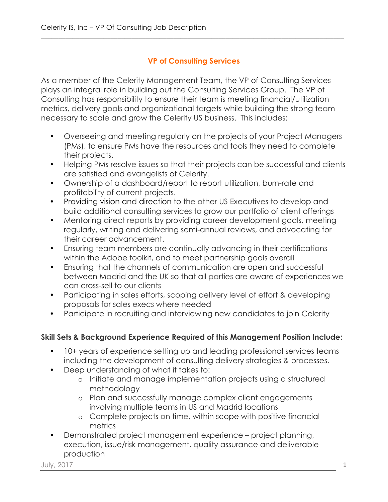## **VP of Consulting Services**

\_\_\_\_\_\_\_\_\_\_\_\_\_\_\_\_\_\_\_\_\_\_\_\_\_\_\_\_\_\_\_\_\_\_\_\_\_\_\_\_\_\_\_\_\_\_\_\_\_\_\_\_\_\_\_\_\_\_\_\_\_\_\_\_\_\_\_\_\_\_\_\_\_\_\_\_\_\_\_\_\_\_\_\_\_\_\_

As a member of the Celerity Management Team, the VP of Consulting Services plays an integral role in building out the Consulting Services Group. The VP of Consulting has responsibility to ensure their team is meeting financial/utilization metrics, delivery goals and organizational targets while building the strong team necessary to scale and grow the Celerity US business. This includes:

- Overseeing and meeting regularly on the projects of your Project Managers (PMs), to ensure PMs have the resources and tools they need to complete their projects.
- Helping PMs resolve issues so that their projects can be successful and clients are satisfied and evangelists of Celerity.
- Ownership of a dashboard/report to report utilization, burn-rate and profitability of current projects.
- Providing vision and direction to the other US Executives to develop and build additional consulting services to grow our portfolio of client offerings
- Mentoring direct reports by providing career development goals, meeting regularly, writing and delivering semi-annual reviews, and advocating for their career advancement.
- Ensuring team members are continually advancing in their certifications within the Adobe toolkit, and to meet partnership goals overall
- Ensuring that the channels of communication are open and successful between Madrid and the UK so that all parties are aware of experiences we can cross-sell to our clients
- Participating in sales efforts, scoping delivery level of effort & developing proposals for sales execs where needed
- Participate in recruiting and interviewing new candidates to join Celerity

## **Skill Sets & Background Experience Required of this Management Position Include:**

- 10+ years of experience setting up and leading professional services teams including the development of consulting delivery strategies & processes.
- Deep understanding of what it takes to:
	- o Initiate and manage implementation projects using a structured methodology
	- o Plan and successfully manage complex client engagements involving multiple teams in US and Madrid locations
	- o Complete projects on time, within scope with positive financial metrics
- Demonstrated project management experience project planning, execution, issue/risk management, quality assurance and deliverable production